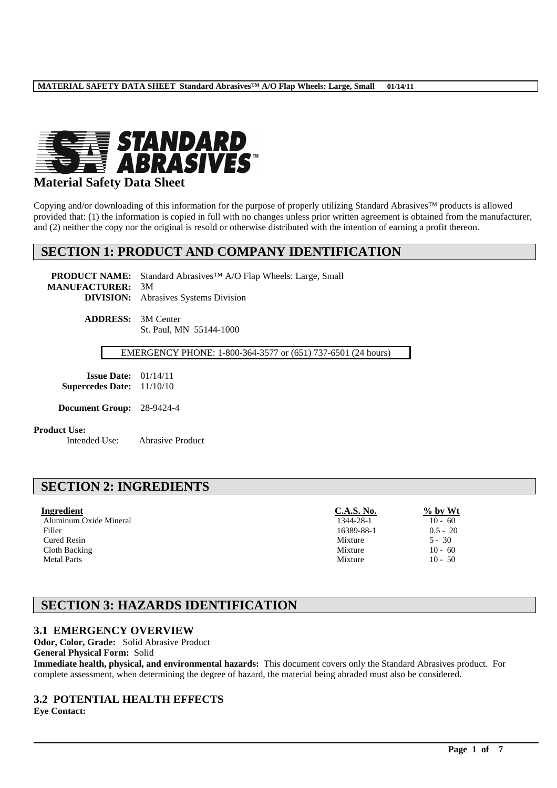

## **Material Safety Data Sheet**

Copying and/or downloading of this information for the purpose of properly utilizing Standard Abrasives™ products is allowed provided that: (1) the information is copied in full with no changes unless prior written agreement is obtained from the manufacturer, and (2) neither the copy nor the original is resold or otherwise distributed with the intention of earning a profit thereon.

## **SECTION 1: PRODUCT AND COMPANY IDENTIFICATION**

**PRODUCT NAME:** Standard Abrasives™ A/O Flap Wheels: Large, Small **MANUFACTURER:** 3M **DIVISION:** Abrasives Systems Division

> **ADDRESS:** 3M Center St. Paul, MN 55144-1000

> > EMERGENCY PHONE: 1-800-364-3577 or (651) 737-6501 (24 hours)

**Issue Date:** 01/14/11 **Supercedes Date:** 11/10/10

**Document Group:** 28-9424-4

#### **Product Use:**

Intended Use: Abrasive Product

# **SECTION 2: INGREDIENTS**

| Ingredient             | <b>C.A.S. No.</b> | $\frac{6}{2}$ by Wt |
|------------------------|-------------------|---------------------|
| Aluminum Oxide Mineral | 1344-28-1         | $10 - 60$           |
| Filler                 | 16389-88-1        | $0.5 - 20$          |
| Cured Resin            | Mixture           | $5 - 30$            |
| Cloth Backing          | Mixture           | $10 - 60$           |
| <b>Metal Parts</b>     | Mixture           | $10 - 50$           |

# **SECTION 3: HAZARDS IDENTIFICATION**

### **3.1 EMERGENCY OVERVIEW**

**Odor, Color, Grade:** Solid Abrasive Product

**General Physical Form:** Solid

**Immediate health, physical, and environmental hazards:** This document covers only the Standard Abrasives product. For complete assessment, when determining the degree of hazard, the material being abraded must also be considered.

\_\_\_\_\_\_\_\_\_\_\_\_\_\_\_\_\_\_\_\_\_\_\_\_\_\_\_\_\_\_\_\_\_\_\_\_\_\_\_\_\_\_\_\_\_\_\_\_\_\_\_\_\_\_\_\_\_\_\_\_\_\_\_\_\_\_\_\_\_\_\_\_\_\_\_\_\_\_\_\_\_\_\_\_\_\_\_\_\_\_\_\_\_\_\_\_\_

### **3.2 POTENTIAL HEALTH EFFECTS**

**Eye Contact:**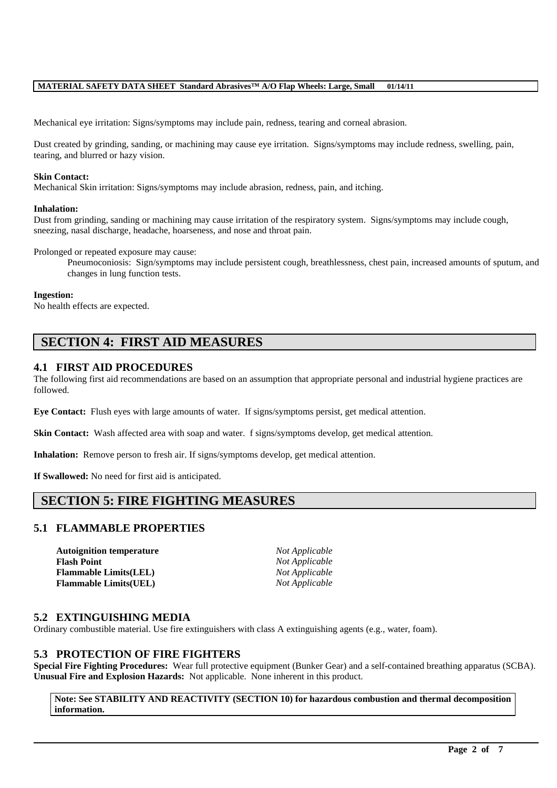Mechanical eye irritation: Signs/symptoms may include pain, redness, tearing and corneal abrasion.

Dust created by grinding, sanding, or machining may cause eye irritation. Signs/symptoms may include redness, swelling, pain, tearing, and blurred or hazy vision.

#### **Skin Contact:**

Mechanical Skin irritation: Signs/symptoms may include abrasion, redness, pain, and itching.

#### **Inhalation:**

Dust from grinding, sanding or machining may cause irritation of the respiratory system. Signs/symptoms may include cough, sneezing, nasal discharge, headache, hoarseness, and nose and throat pain.

Prolonged or repeated exposure may cause:

Pneumoconiosis: Sign/symptoms may include persistent cough, breathlessness, chest pain, increased amounts of sputum, and changes in lung function tests.

#### **Ingestion:**

No health effects are expected.

# **SECTION 4: FIRST AID MEASURES**

### **4.1 FIRST AID PROCEDURES**

The following first aid recommendations are based on an assumption that appropriate personal and industrial hygiene practices are followed.

**Eye Contact:** Flush eyes with large amounts of water. If signs/symptoms persist, get medical attention.

**Skin Contact:** Wash affected area with soap and water. f signs/symptoms develop, get medical attention.

**Inhalation:** Remove person to fresh air. If signs/symptoms develop, get medical attention.

**If Swallowed:** No need for first aid is anticipated.

# **SECTION 5: FIRE FIGHTING MEASURES**

### **5.1 FLAMMABLE PROPERTIES**

**Autoignition temperature** *Not Applicable* **Flash Point** *Not Applicable* **Flammable Limits(LEL)** *Not Applicable* **Flammable Limits(UEL)** *Not Applicable*

#### **5.2 EXTINGUISHING MEDIA**

Ordinary combustible material. Use fire extinguishers with class A extinguishing agents (e.g., water, foam).

### **5.3 PROTECTION OF FIRE FIGHTERS**

**Special Fire Fighting Procedures:** Wear full protective equipment (Bunker Gear) and a self-contained breathing apparatus (SCBA). **Unusual Fire and Explosion Hazards:** Not applicable. None inherent in this product.

**Note: See STABILITY AND REACTIVITY (SECTION 10) for hazardous combustion and thermal decomposition information.**

\_\_\_\_\_\_\_\_\_\_\_\_\_\_\_\_\_\_\_\_\_\_\_\_\_\_\_\_\_\_\_\_\_\_\_\_\_\_\_\_\_\_\_\_\_\_\_\_\_\_\_\_\_\_\_\_\_\_\_\_\_\_\_\_\_\_\_\_\_\_\_\_\_\_\_\_\_\_\_\_\_\_\_\_\_\_\_\_\_\_\_\_\_\_\_\_\_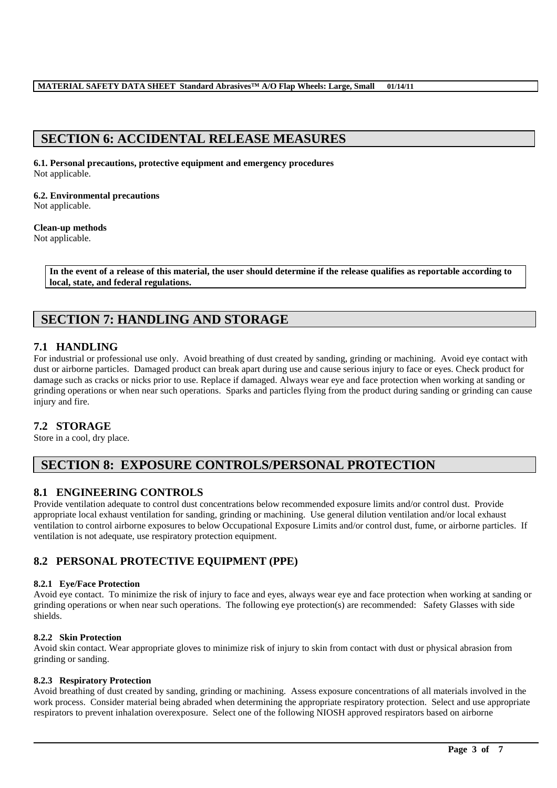# **SECTION 6: ACCIDENTAL RELEASE MEASURES**

**6.1. Personal precautions, protective equipment and emergency procedures** Not applicable.

**6.2. Environmental precautions** Not applicable.

#### **Clean-up methods** Not applicable.

**In the event of a release of this material, the user should determine if the release qualifies as reportable according to local, state, and federal regulations.**

# **SECTION 7: HANDLING AND STORAGE**

## **7.1 HANDLING**

For industrial or professional use only. Avoid breathing of dust created by sanding, grinding or machining. Avoid eye contact with dust or airborne particles. Damaged product can break apart during use and cause serious injury to face or eyes. Check product for damage such as cracks or nicks prior to use. Replace if damaged. Always wear eye and face protection when working at sanding or grinding operations or when near such operations. Sparks and particles flying from the product during sanding or grinding can cause injury and fire.

## **7.2 STORAGE**

Store in a cool, dry place.

# **SECTION 8: EXPOSURE CONTROLS/PERSONAL PROTECTION**

## **8.1 ENGINEERING CONTROLS**

Provide ventilation adequate to control dust concentrations below recommended exposure limits and/or control dust. Provide appropriate local exhaust ventilation for sanding, grinding or machining. Use general dilution ventilation and/or local exhaust ventilation to control airborne exposures to below Occupational Exposure Limits and/or control dust, fume, or airborne particles. If ventilation is not adequate, use respiratory protection equipment.

## **8.2 PERSONAL PROTECTIVE EQUIPMENT (PPE)**

### **8.2.1 Eye/Face Protection**

Avoid eye contact. To minimize the risk of injury to face and eyes, always wear eye and face protection when working at sanding or grinding operations or when near such operations. The following eye protection(s) are recommended: Safety Glasses with side shields.

### **8.2.2 Skin Protection**

Avoid skin contact. Wear appropriate gloves to minimize risk of injury to skin from contact with dust or physical abrasion from grinding or sanding.

#### **8.2.3 Respiratory Protection**

Avoid breathing of dust created by sanding, grinding or machining. Assess exposure concentrations of all materials involved in the work process. Consider material being abraded when determining the appropriate respiratory protection. Select and use appropriate respirators to prevent inhalation overexposure. Select one of the following NIOSH approved respirators based on airborne

\_\_\_\_\_\_\_\_\_\_\_\_\_\_\_\_\_\_\_\_\_\_\_\_\_\_\_\_\_\_\_\_\_\_\_\_\_\_\_\_\_\_\_\_\_\_\_\_\_\_\_\_\_\_\_\_\_\_\_\_\_\_\_\_\_\_\_\_\_\_\_\_\_\_\_\_\_\_\_\_\_\_\_\_\_\_\_\_\_\_\_\_\_\_\_\_\_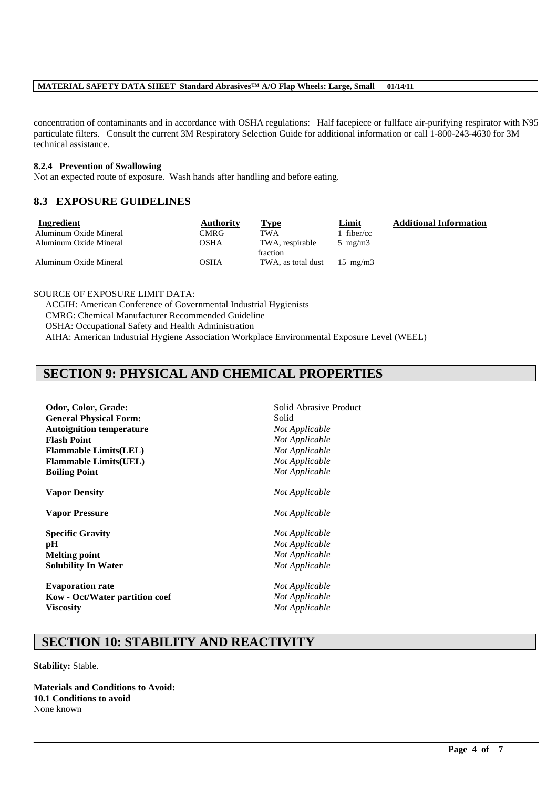concentration of contaminants and in accordance with OSHA regulations: Half facepiece or fullface air-purifying respirator with N95 particulate filters. Consult the current 3M Respiratory Selection Guide for additional information or call 1-800-243-4630 for 3M technical assistance.

\_\_\_\_\_\_\_\_\_\_\_\_\_\_\_\_\_\_\_\_\_\_\_\_\_\_\_\_\_\_\_\_\_\_\_\_\_\_\_\_\_\_\_\_\_\_\_\_\_\_\_\_\_\_\_\_\_\_\_\_\_\_\_\_\_\_\_\_\_\_\_\_\_\_\_\_\_\_\_\_\_\_\_\_\_\_\_\_\_\_\_\_\_\_\_\_\_

#### **8.2.4 Prevention of Swallowing**

Not an expected route of exposure. Wash hands after handling and before eating.

## **8.3 EXPOSURE GUIDELINES**

| Ingredient             | <b>Authority</b> | Type                                 | Limit            | <b>Additional Information</b> |
|------------------------|------------------|--------------------------------------|------------------|-------------------------------|
| Aluminum Oxide Mineral | CMRG             | <b>TWA</b>                           | fiber/cc         |                               |
| Aluminum Oxide Mineral | OSHA             | TWA, respirable<br>fraction          | $5 \text{ mg/m}$ |                               |
| Aluminum Oxide Mineral | OSHA             | TWA, as total dust $15 \text{ mg/m}$ |                  |                               |

SOURCE OF EXPOSURE LIMIT DATA:

ACGIH: American Conference of Governmental Industrial Hygienists CMRG: Chemical Manufacturer Recommended Guideline OSHA: Occupational Safety and Health Administration AIHA: American Industrial Hygiene Association Workplace Environmental Exposure Level (WEEL)

# **SECTION 9: PHYSICAL AND CHEMICAL PROPERTIES**

| Odor, Color, Grade:             | Solid Abrasive Product                    |  |  |
|---------------------------------|-------------------------------------------|--|--|
| <b>General Physical Form:</b>   | Solid<br>Not Applicable<br>Not Applicable |  |  |
| <b>Autoignition temperature</b> |                                           |  |  |
| <b>Flash Point</b>              |                                           |  |  |
| <b>Flammable Limits(LEL)</b>    | Not Applicable<br>Not Applicable          |  |  |
| <b>Flammable Limits(UEL)</b>    |                                           |  |  |
| <b>Boiling Point</b>            | Not Applicable                            |  |  |
| <b>Vapor Density</b>            | Not Applicable                            |  |  |
| <b>Vapor Pressure</b>           | Not Applicable                            |  |  |
| <b>Specific Gravity</b>         | Not Applicable                            |  |  |
| pH                              | Not Applicable                            |  |  |
| <b>Melting point</b>            | Not Applicable                            |  |  |
| <b>Solubility In Water</b>      | Not Applicable                            |  |  |
| <b>Evaporation rate</b>         | Not Applicable                            |  |  |
| Kow - Oct/Water partition coef  | Not Applicable                            |  |  |
| <b>Viscosity</b>                | Not Applicable                            |  |  |
|                                 |                                           |  |  |

# **SECTION 10: STABILITY AND REACTIVITY**

**Stability:** Stable.

**Materials and Conditions to Avoid: 10.1 Conditions to avoid** None known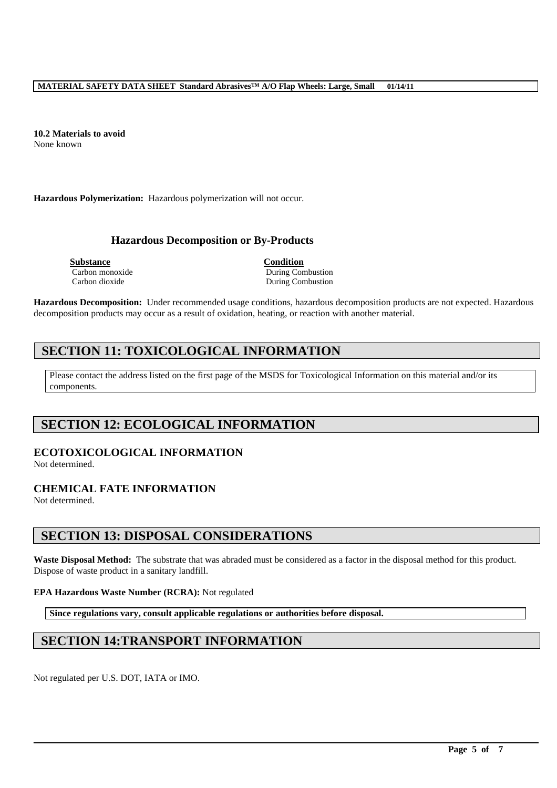**10.2 Materials to avoid** None known

**Hazardous Polymerization:** Hazardous polymerization will not occur.

### **Hazardous Decomposition or By-Products**

**Substance Condition**

Carbon monoxide During Combustion Carbon dioxide During Combustion

**Hazardous Decomposition:** Under recommended usage conditions, hazardous decomposition products are not expected. Hazardous decomposition products may occur as a result of oxidation, heating, or reaction with another material.

# **SECTION 11: TOXICOLOGICAL INFORMATION**

Please contact the address listed on the first page of the MSDS for Toxicological Information on this material and/or its components.

# **SECTION 12: ECOLOGICAL INFORMATION**

## **ECOTOXICOLOGICAL INFORMATION**

Not determined.

## **CHEMICAL FATE INFORMATION**

Not determined.

## **SECTION 13: DISPOSAL CONSIDERATIONS**

**Waste Disposal Method:** The substrate that was abraded must be considered as a factor in the disposal method for this product. Dispose of waste product in a sanitary landfill.

\_\_\_\_\_\_\_\_\_\_\_\_\_\_\_\_\_\_\_\_\_\_\_\_\_\_\_\_\_\_\_\_\_\_\_\_\_\_\_\_\_\_\_\_\_\_\_\_\_\_\_\_\_\_\_\_\_\_\_\_\_\_\_\_\_\_\_\_\_\_\_\_\_\_\_\_\_\_\_\_\_\_\_\_\_\_\_\_\_\_\_\_\_\_\_\_\_

#### **EPA Hazardous Waste Number (RCRA):** Not regulated

**Since regulations vary, consult applicable regulations or authorities before disposal.**

# **SECTION 14:TRANSPORT INFORMATION**

Not regulated per U.S. DOT, IATA or IMO.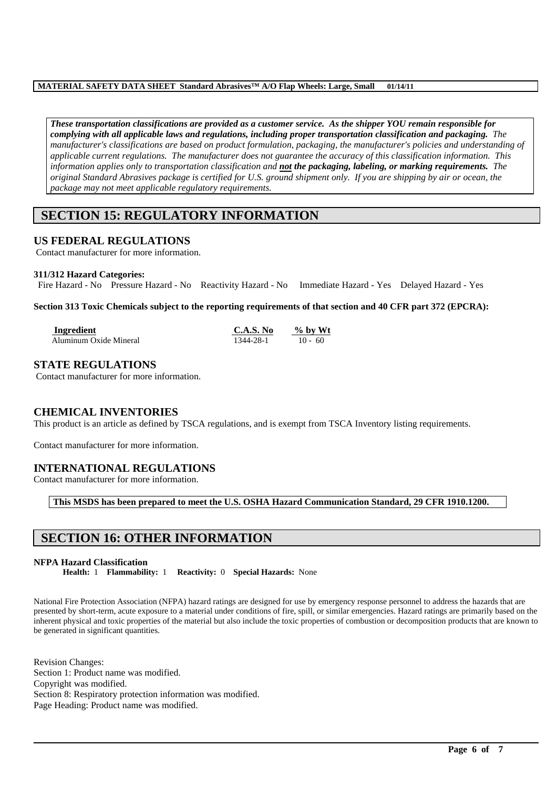*These transportation classifications are provided as a customer service. As the shipper YOU remain responsible for complying with all applicable laws and regulations, including proper transportation classification and packaging. The manufacturer's classifications are based on product formulation, packaging, the manufacturer's policies and understanding of applicable current regulations. The manufacturer does not guarantee the accuracy of this classification information. This information applies only to transportation classification and not the packaging, labeling, or marking requirements. The original Standard Abrasives package is certified for U.S. ground shipment only. If you are shipping by air or ocean, the package may not meet applicable regulatory requirements.* 

# **SECTION 15: REGULATORY INFORMATION**

## **US FEDERAL REGULATIONS**

Contact manufacturer for more information.

#### **311/312 Hazard Categories:**

Fire Hazard - No Pressure Hazard - No Reactivity Hazard - No Immediate Hazard - Yes Delayed Hazard - Yes

**Section 313 Toxic Chemicals subject to the reporting requirements of that section and 40 CFR part 372 (EPCRA):**

| Ingredient             | C.A.S. No | $\%$ by Wt |  |
|------------------------|-----------|------------|--|
| Aluminum Oxide Mineral | 1344-28-1 | $10 - 60$  |  |

### **STATE REGULATIONS**

Contact manufacturer for more information.

### **CHEMICAL INVENTORIES**

This product is an article as defined by TSCA regulations, and is exempt from TSCA Inventory listing requirements.

Contact manufacturer for more information.

### **INTERNATIONAL REGULATIONS**

Contact manufacturer for more information.

**This MSDS has been prepared to meet the U.S. OSHA Hazard Communication Standard, 29 CFR 1910.1200.**

# **SECTION 16: OTHER INFORMATION**

#### **NFPA Hazard Classification**

**Health:** 1 **Flammability:** 1 **Reactivity:** 0 **Special Hazards:** None

National Fire Protection Association (NFPA) hazard ratings are designed for use by emergency response personnel to address the hazards that are presented by short-term, acute exposure to a material under conditions of fire, spill, or similar emergencies. Hazard ratings are primarily based on the inherent physical and toxic properties of the material but also include the toxic properties of combustion or decomposition products that are known to be generated in significant quantities.

\_\_\_\_\_\_\_\_\_\_\_\_\_\_\_\_\_\_\_\_\_\_\_\_\_\_\_\_\_\_\_\_\_\_\_\_\_\_\_\_\_\_\_\_\_\_\_\_\_\_\_\_\_\_\_\_\_\_\_\_\_\_\_\_\_\_\_\_\_\_\_\_\_\_\_\_\_\_\_\_\_\_\_\_\_\_\_\_\_\_\_\_\_\_\_\_\_

Revision Changes: Section 1: Product name was modified. Copyright was modified. Section 8: Respiratory protection information was modified. Page Heading: Product name was modified.